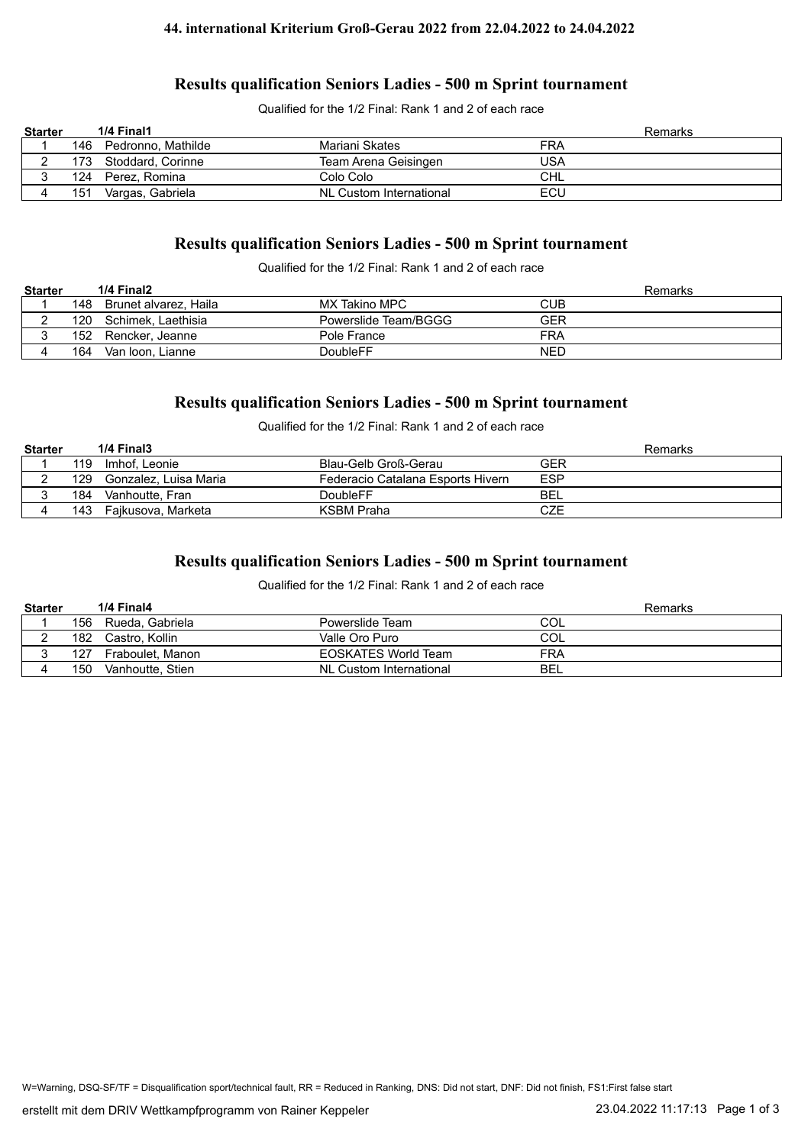#### **44. international Kriterium Groß-Gerau 2022 from 22.04.2022 to 24.04.2022**

### **Results qualification Seniors Ladies - 500 m Sprint tournament**

Qualified for the 1/2 Final: Rank 1 and 2 of each race

| <b>Starter</b> |     | 1/4 Final1         |                         | Remarks |
|----------------|-----|--------------------|-------------------------|---------|
|                | 146 | Pedronno, Mathilde | Mariani Skates          | FRA     |
|                | 173 | Stoddard, Corinne  | Team Arena Geisingen    | USA     |
|                | 124 | Perez, Romina      | Colo Colo               | CHL     |
|                | 151 | Vargas, Gabriela   | NL Custom International | ECU     |

# **Results qualification Seniors Ladies - 500 m Sprint tournament**

Qualified for the 1/2 Final: Rank 1 and 2 of each race

| <b>Starter</b> |     | 1/4 Final2            |                      | Remarks    |
|----------------|-----|-----------------------|----------------------|------------|
|                | 148 | Brunet alvarez. Haila | MX Takino MPC        | CUB        |
|                | 120 | Schimek, Laethisia    | Powerslide Team/BGGG | <b>GER</b> |
|                | 152 | Rencker, Jeanne       | Pole France          | FRA        |
|                | 164 | Van Ioon. Lianne      | DoubleFF             | <b>NED</b> |

## **Results qualification Seniors Ladies - 500 m Sprint tournament**

Qualified for the 1/2 Final: Rank 1 and 2 of each race

| <b>Starter</b> |     | $1/4$ Final $3$       |                                   | Remarks    |
|----------------|-----|-----------------------|-----------------------------------|------------|
|                | 119 | Imhof. Leonie         | Blau-Gelb Groß-Gerau              | GER        |
|                | 129 | Gonzalez. Luisa Maria | Federacio Catalana Esports Hivern | ESP        |
|                | 184 | Vanhoutte, Fran       | DoubleFF                          | <b>BEL</b> |
|                | 143 | Fajkusova, Marketa    | KSBM Praha                        | CZE        |

## **Results qualification Seniors Ladies - 500 m Sprint tournament**

Qualified for the 1/2 Final: Rank 1 and 2 of each race

| <b>Starter</b> |     | 1/4 Final4       |                            | Remarks    |
|----------------|-----|------------------|----------------------------|------------|
|                | 156 | Rueda. Gabriela  | Powerslide Team            | COL        |
|                | 182 | Castro. Kollin   | Valle Oro Puro             | COL        |
|                | 127 | Fraboulet, Manon | <b>EOSKATES World Team</b> | FRA        |
|                | 150 | Vanhoutte. Stien | NL Custom International    | <b>BEL</b> |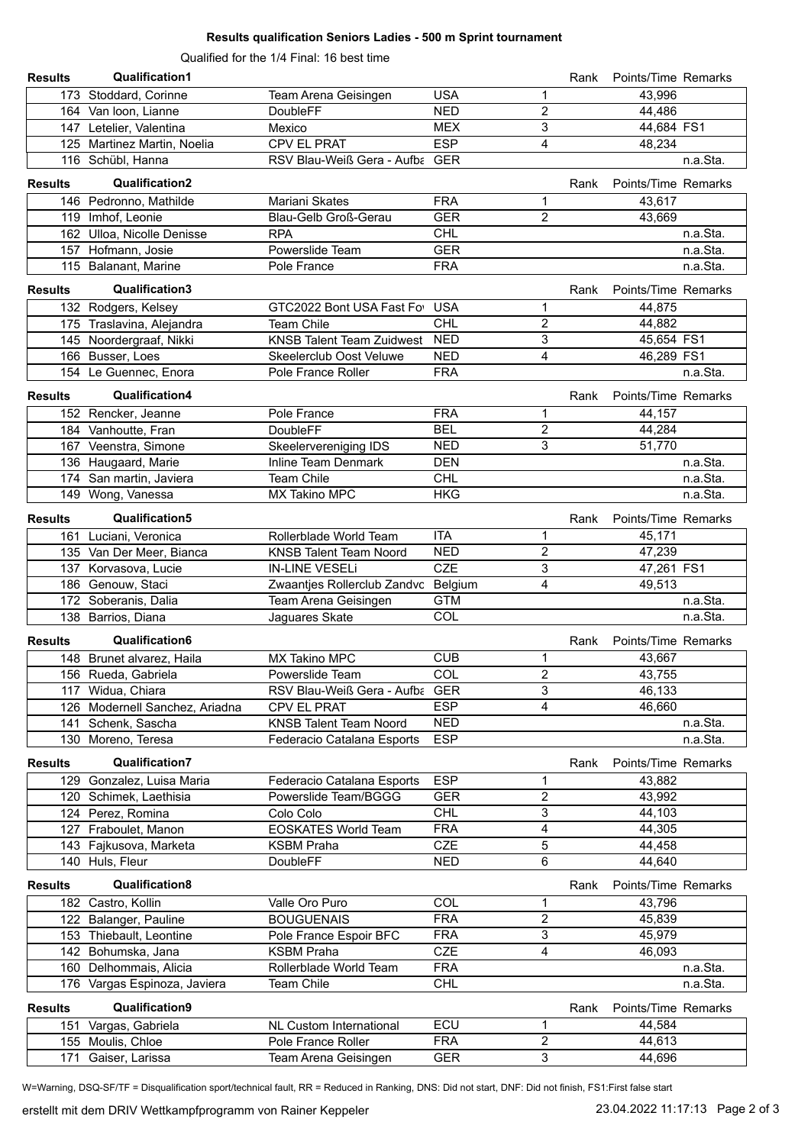#### **Results qualification Seniors Ladies - 500 m Sprint tournament**

Qualified for the 1/4 Final: 16 best time

| <b>Results</b> | <b>Qualification1</b>          |                                     |            |                | Rank | Points/Time Remarks |          |
|----------------|--------------------------------|-------------------------------------|------------|----------------|------|---------------------|----------|
|                | 173 Stoddard, Corinne          | Team Arena Geisingen                | <b>USA</b> | 1              |      | 43.996              |          |
|                | 164 Van loon, Lianne           | DoubleFF                            | <b>NED</b> | 2              |      | 44,486              |          |
|                | 147 Letelier, Valentina        | Mexico                              | <b>MEX</b> | 3              |      | 44,684 FS1          |          |
|                | 125 Martinez Martin, Noelia    | CPV EL PRAT                         | <b>ESP</b> | 4              |      | 48,234              |          |
|                | 116 Schübl, Hanna              | RSV Blau-Weiß Gera - Aufba GER      |            |                |      |                     | n.a.Sta. |
| <b>Results</b> | <b>Qualification2</b>          |                                     |            |                | Rank | Points/Time Remarks |          |
|                | 146 Pedronno, Mathilde         | Mariani Skates                      | <b>FRA</b> | 1              |      | 43,617              |          |
|                | 119 Imhof, Leonie              | Blau-Gelb Groß-Gerau                | <b>GER</b> | $\overline{2}$ |      | 43,669              |          |
|                | 162 Ulloa, Nicolle Denisse     | <b>RPA</b>                          | <b>CHL</b> |                |      |                     | n.a.Sta. |
|                | 157 Hofmann, Josie             | Powerslide Team                     | <b>GER</b> |                |      |                     | n.a.Sta. |
|                | 115 Balanant, Marine           | Pole France                         | <b>FRA</b> |                |      |                     | n.a.Sta. |
| <b>Results</b> | Qualification3                 |                                     |            |                | Rank | Points/Time Remarks |          |
|                | 132 Rodgers, Kelsey            | GTC2022 Bont USA Fast Fo USA        |            | 1              |      | 44,875              |          |
|                | 175 Traslavina, Alejandra      | <b>Team Chile</b>                   | <b>CHL</b> | 2              |      | 44,882              |          |
|                | 145 Noordergraaf, Nikki        | <b>KNSB Talent Team Zuidwest</b>    | <b>NED</b> | 3              |      | 45,654 FS1          |          |
|                | 166 Busser, Loes               | Skeelerclub Oost Veluwe             | <b>NED</b> | 4              |      | 46,289 FS1          |          |
|                | 154 Le Guennec, Enora          | Pole France Roller                  | <b>FRA</b> |                |      |                     | n.a.Sta. |
| <b>Results</b> | <b>Qualification4</b>          |                                     |            |                | Rank | Points/Time Remarks |          |
|                | 152 Rencker, Jeanne            | Pole France                         | <b>FRA</b> | 1              |      | 44,157              |          |
|                | 184 Vanhoutte, Fran            | <b>DoubleFF</b>                     | <b>BEL</b> | $\overline{2}$ |      | 44,284              |          |
|                | 167 Veenstra, Simone           | Skeelervereniging IDS               | <b>NED</b> | 3              |      | 51,770              |          |
|                | 136 Haugaard, Marie            | Inline Team Denmark                 | <b>DEN</b> |                |      |                     | n.a.Sta. |
|                | 174 San martin, Javiera        | <b>Team Chile</b>                   | <b>CHL</b> |                |      |                     | n.a.Sta. |
|                | 149 Wong, Vanessa              | MX Takino MPC                       | <b>HKG</b> |                |      |                     | n.a.Sta. |
| <b>Results</b> | Qualification5                 |                                     |            |                | Rank | Points/Time Remarks |          |
|                | 161 Luciani, Veronica          | Rollerblade World Team              | <b>ITA</b> | 1              |      | 45,171              |          |
|                | 135 Van Der Meer, Bianca       | <b>KNSB Talent Team Noord</b>       | <b>NED</b> | $\overline{2}$ |      | 47,239              |          |
|                | 137 Korvasova, Lucie           | <b>IN-LINE VESELI</b>               | <b>CZE</b> | 3              |      | 47,261 FS1          |          |
|                | 186 Genouw, Staci              | Zwaantjes Rollerclub Zandvc Belgium |            | 4              |      | 49,513              |          |
|                | 172 Soberanis, Dalia           | Team Arena Geisingen                | <b>GTM</b> |                |      |                     | n.a.Sta. |
|                | 138 Barrios, Diana             | Jaguares Skate                      | COL        |                |      |                     | n.a.Sta. |
| <b>Results</b> | Qualification6                 |                                     |            |                | Rank | Points/Time Remarks |          |
|                | 148 Brunet alvarez, Haila      | MX Takino MPC                       | <b>CUB</b> | 1              |      | 43,667              |          |
|                | 156 Rueda, Gabriela            | Powerslide Team                     | <b>COL</b> | $\sqrt{2}$     |      | 43,755              |          |
|                | 117 Widua, Chiara              | RSV Blau-Weiß Gera - Aufba GER      |            | 3              |      | 46,133              |          |
|                | 126 Modernell Sanchez, Ariadna | CPV EL PRAT                         | <b>ESP</b> | 4              |      | 46,660              |          |
|                | 141 Schenk, Sascha             | <b>KNSB Talent Team Noord</b>       | <b>NED</b> |                |      |                     | n.a.Sta. |
|                | 130 Moreno, Teresa             | Federacio Catalana Esports          | <b>ESP</b> |                |      |                     | n.a.Sta. |
| <b>Results</b> | <b>Qualification7</b>          |                                     |            |                | Rank | Points/Time Remarks |          |
|                | 129 Gonzalez, Luisa Maria      | Federacio Catalana Esports          | <b>ESP</b> | 1              |      | 43,882              |          |
|                | 120 Schimek, Laethisia         | Powerslide Team/BGGG                | <b>GER</b> | 2              |      | 43,992              |          |
|                | 124 Perez, Romina              | Colo Colo                           | <b>CHL</b> | 3              |      | 44,103              |          |
|                | 127 Fraboulet, Manon           | <b>EOSKATES World Team</b>          | <b>FRA</b> | 4              |      | 44,305              |          |
|                | 143 Fajkusova, Marketa         | <b>KSBM Praha</b>                   | <b>CZE</b> | 5              |      | 44,458              |          |
|                | 140 Huls, Fleur                | <b>DoubleFF</b>                     | <b>NED</b> | 6              |      | 44,640              |          |
| <b>Results</b> | Qualification8                 |                                     |            |                | Rank | Points/Time Remarks |          |
|                | 182 Castro, Kollin             | Valle Oro Puro                      | COL        | 1              |      | 43,796              |          |
|                | 122 Balanger, Pauline          | <b>BOUGUENAIS</b>                   | <b>FRA</b> | 2              |      | 45,839              |          |
|                | 153 Thiebault, Leontine        | Pole France Espoir BFC              | <b>FRA</b> | 3              |      | 45,979              |          |
|                | 142 Bohumska, Jana             | <b>KSBM Praha</b>                   | <b>CZE</b> | $\overline{4}$ |      | 46,093              |          |
|                | 160 Delhommais, Alicia         | Rollerblade World Team              | <b>FRA</b> |                |      |                     | n.a.Sta. |
|                | 176 Vargas Espinoza, Javiera   | <b>Team Chile</b>                   | <b>CHL</b> |                |      |                     | n.a.Sta. |
| <b>Results</b> | Qualification9                 |                                     |            |                | Rank | Points/Time Remarks |          |
|                | 151 Vargas, Gabriela           | NL Custom International             | ECU        | 1              |      | 44,584              |          |
|                | 155 Moulis, Chloe              | Pole France Roller                  | <b>FRA</b> | $\mathbf{2}$   |      | 44,613              |          |
|                | 171 Gaiser, Larissa            | Team Arena Geisingen                | <b>GER</b> | $\overline{3}$ |      | 44,696              |          |

W=Warning, DSQ-SF/TF = Disqualification sport/technical fault, RR = Reduced in Ranking, DNS: Did not start, DNF: Did not finish, FS1:First false start